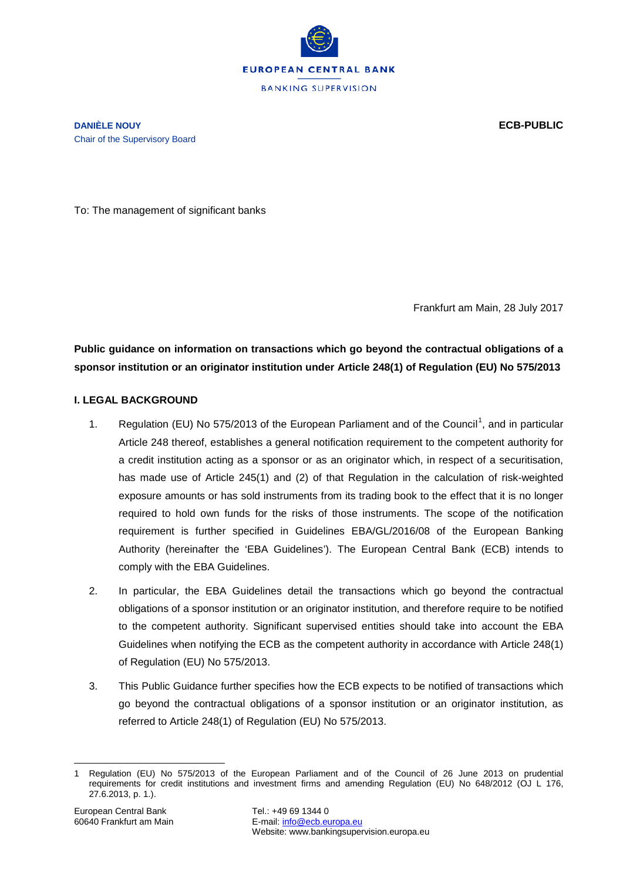

To: The management of significant banks

Frankfurt am Main, 28 July 2017

**Public guidance on information on transactions which go beyond the contractual obligations of a sponsor institution or an originator institution under Article 248(1) of Regulation (EU) No 575/2013**

#### **I. LEGAL BACKGROUND**

- [1](#page-0-0). Regulation (EU) No 575/2013 of the European Parliament and of the Council<sup>1</sup>, and in particular Article 248 thereof, establishes a general notification requirement to the competent authority for a credit institution acting as a sponsor or as an originator which, in respect of a securitisation, has made use of Article 245(1) and (2) of that Regulation in the calculation of risk-weighted exposure amounts or has sold instruments from its trading book to the effect that it is no longer required to hold own funds for the risks of those instruments. The scope of the notification requirement is further specified in Guidelines EBA/GL/2016/08 of the European Banking Authority (hereinafter the 'EBA Guidelines'). The European Central Bank (ECB) intends to comply with the EBA Guidelines.
- 2. In particular, the EBA Guidelines detail the transactions which go beyond the contractual obligations of a sponsor institution or an originator institution, and therefore require to be notified to the competent authority. Significant supervised entities should take into account the EBA Guidelines when notifying the ECB as the competent authority in accordance with Article 248(1) of Regulation (EU) No 575/2013.
- 3. This Public Guidance further specifies how the ECB expects to be notified of transactions which go beyond the contractual obligations of a sponsor institution or an originator institution, as referred to Article 248(1) of Regulation (EU) No 575/2013.

<span id="page-0-0"></span><sup>-</sup>1 Regulation (EU) No 575/2013 of the European Parliament and of the Council of 26 June 2013 on prudential requirements for credit institutions and investment firms and amending Regulation (EU) No 648/2012 (OJ L 176, 27.6.2013, p. 1.).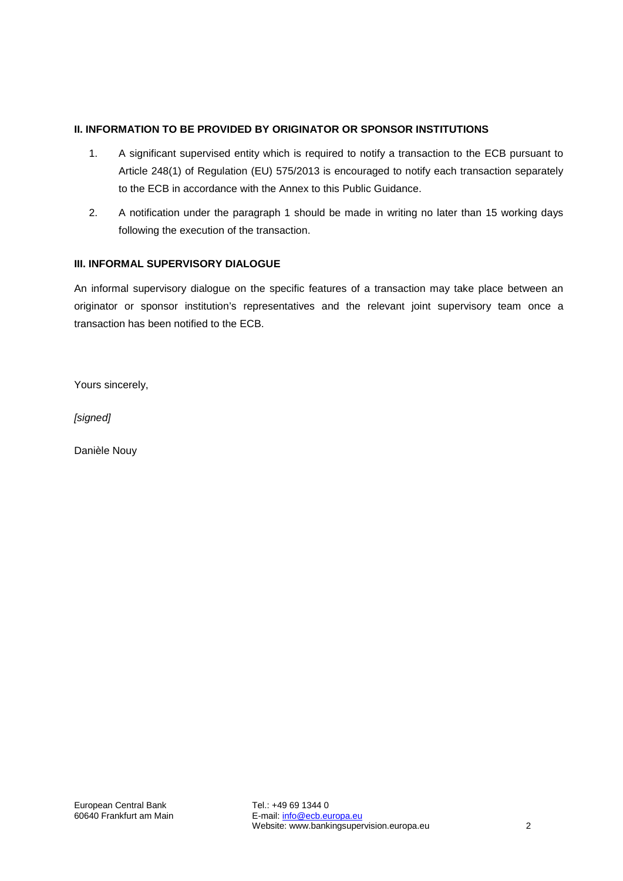# **II. INFORMATION TO BE PROVIDED BY ORIGINATOR OR SPONSOR INSTITUTIONS**

- 1. A significant supervised entity which is required to notify a transaction to the ECB pursuant to Article 248(1) of Regulation (EU) 575/2013 is encouraged to notify each transaction separately to the ECB in accordance with the Annex to this Public Guidance.
- 2. A notification under the paragraph 1 should be made in writing no later than 15 working days following the execution of the transaction.

## **III. INFORMAL SUPERVISORY DIALOGUE**

An informal supervisory dialogue on the specific features of a transaction may take place between an originator or sponsor institution's representatives and the relevant joint supervisory team once a transaction has been notified to the ECB.

Yours sincerely,

*[signed]*

Danièle Nouy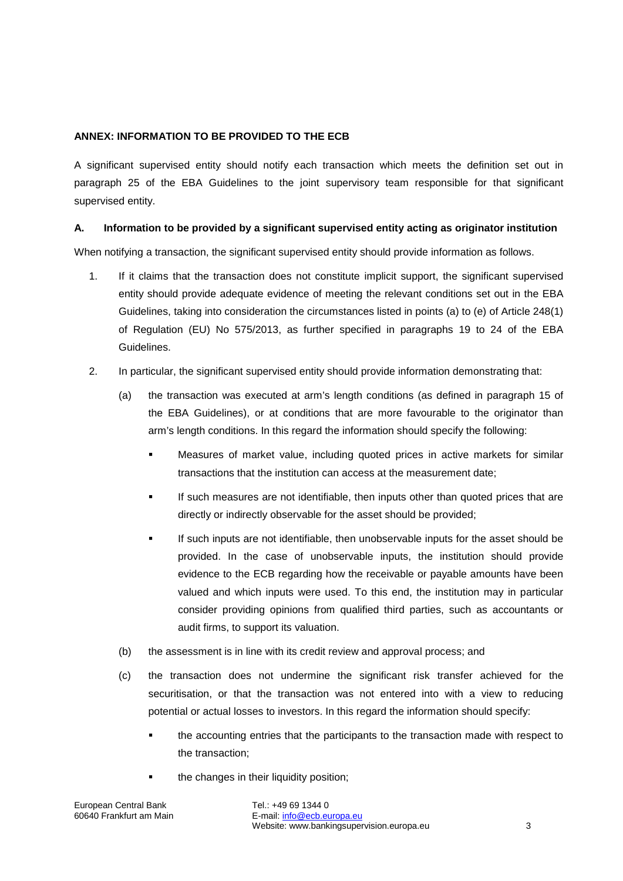### **ANNEX: INFORMATION TO BE PROVIDED TO THE ECB**

A significant supervised entity should notify each transaction which meets the definition set out in paragraph 25 of the EBA Guidelines to the joint supervisory team responsible for that significant supervised entity.

### **A. Information to be provided by a significant supervised entity acting as originator institution**

When notifying a transaction, the significant supervised entity should provide information as follows.

- 1. If it claims that the transaction does not constitute implicit support, the significant supervised entity should provide adequate evidence of meeting the relevant conditions set out in the EBA Guidelines, taking into consideration the circumstances listed in points (a) to (e) of Article 248(1) of Regulation (EU) No 575/2013, as further specified in paragraphs 19 to 24 of the EBA Guidelines.
- 2. In particular, the significant supervised entity should provide information demonstrating that:
	- (a) the transaction was executed at arm's length conditions (as defined in paragraph 15 of the EBA Guidelines), or at conditions that are more favourable to the originator than arm's length conditions. In this regard the information should specify the following:
		- Measures of market value, including quoted prices in active markets for similar transactions that the institution can access at the measurement date;
		- If such measures are not identifiable, then inputs other than quoted prices that are directly or indirectly observable for the asset should be provided;
		- If such inputs are not identifiable, then unobservable inputs for the asset should be provided. In the case of unobservable inputs, the institution should provide evidence to the ECB regarding how the receivable or payable amounts have been valued and which inputs were used. To this end, the institution may in particular consider providing opinions from qualified third parties, such as accountants or audit firms, to support its valuation.
	- (b) the assessment is in line with its credit review and approval process; and
	- (c) the transaction does not undermine the significant risk transfer achieved for the securitisation, or that the transaction was not entered into with a view to reducing potential or actual losses to investors. In this regard the information should specify:
		- the accounting entries that the participants to the transaction made with respect to the transaction;
		- the changes in their liquidity position;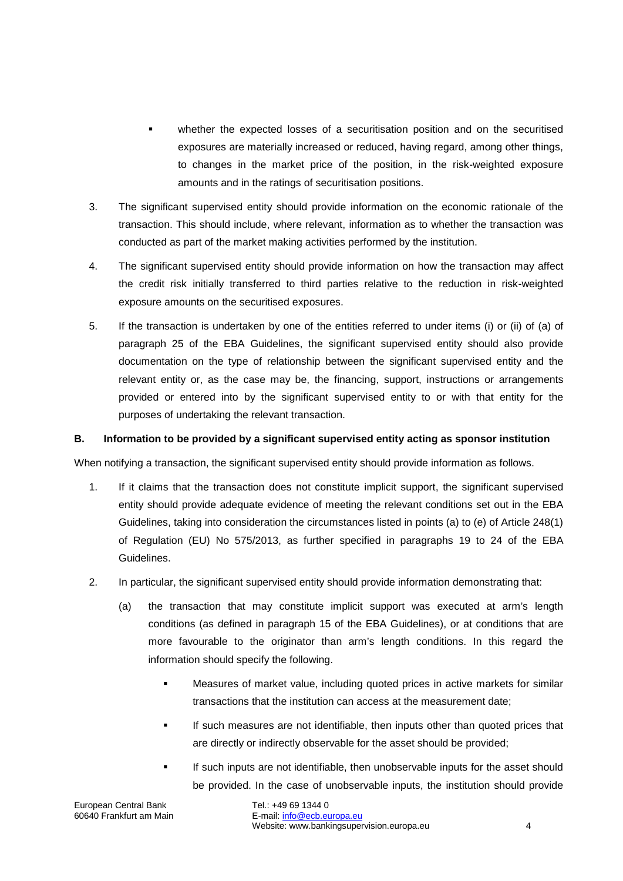- whether the expected losses of a securitisation position and on the securitised exposures are materially increased or reduced, having regard, among other things, to changes in the market price of the position, in the risk-weighted exposure amounts and in the ratings of securitisation positions.
- 3. The significant supervised entity should provide information on the economic rationale of the transaction. This should include, where relevant, information as to whether the transaction was conducted as part of the market making activities performed by the institution.
- 4. The significant supervised entity should provide information on how the transaction may affect the credit risk initially transferred to third parties relative to the reduction in risk-weighted exposure amounts on the securitised exposures.
- 5. If the transaction is undertaken by one of the entities referred to under items (i) or (ii) of (a) of paragraph 25 of the EBA Guidelines, the significant supervised entity should also provide documentation on the type of relationship between the significant supervised entity and the relevant entity or, as the case may be, the financing, support, instructions or arrangements provided or entered into by the significant supervised entity to or with that entity for the purposes of undertaking the relevant transaction.

### **B. Information to be provided by a significant supervised entity acting as sponsor institution**

When notifying a transaction, the significant supervised entity should provide information as follows.

- 1. If it claims that the transaction does not constitute implicit support, the significant supervised entity should provide adequate evidence of meeting the relevant conditions set out in the EBA Guidelines, taking into consideration the circumstances listed in points (a) to (e) of Article 248(1) of Regulation (EU) No 575/2013, as further specified in paragraphs 19 to 24 of the EBA Guidelines.
- 2. In particular, the significant supervised entity should provide information demonstrating that:
	- (a) the transaction that may constitute implicit support was executed at arm's length conditions (as defined in paragraph 15 of the EBA Guidelines), or at conditions that are more favourable to the originator than arm's length conditions. In this regard the information should specify the following.
		- Measures of market value, including quoted prices in active markets for similar transactions that the institution can access at the measurement date;
		- If such measures are not identifiable, then inputs other than quoted prices that are directly or indirectly observable for the asset should be provided;
		- If such inputs are not identifiable, then unobservable inputs for the asset should be provided. In the case of unobservable inputs, the institution should provide